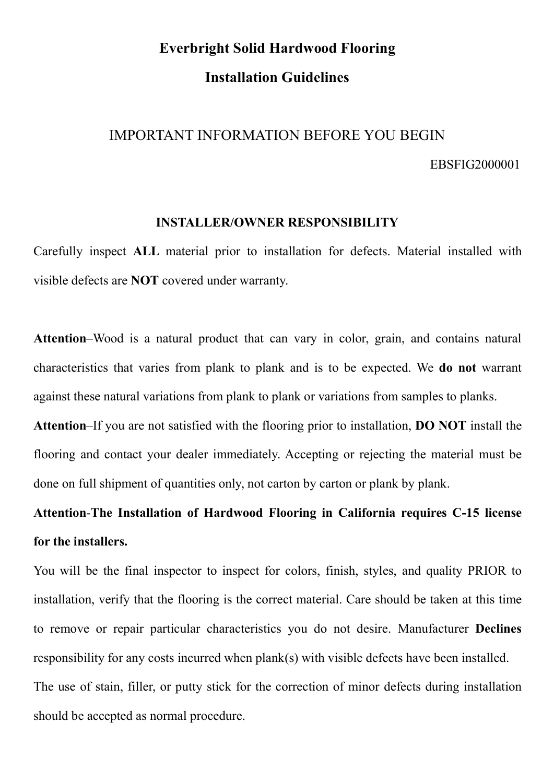# Everbright Solid Hardwood Flooring ight Solid Hardwood Flooring<br>Installation Guidelines<br>NFORMATION BEFORE YOU BEGIN Everbright Solid Hardwood Flooring<br>Installation Guidelines<br>IMPORTANT INFORMATION BEFORE YOU BEGIN<br>EBSFIG2000001

EBSFIG2000001

Everbright Solid Hardwood Flooring<br>
Installation Guidelines<br>
TANT INFORMATION BEFORE YOU BEGIN<br>
EBSFIG2000001<br>
INSTALLER/OWNER RESPONSIBILITY<br>
L material prior to installation for defects. Material installed with<br>
F covere Everbright Solid Hardwood Flooring<br>
Installation Guidelines<br>
IMPORTANT INFORMATION BEFORE YOU BEGIN<br>
EBSFIG2000001<br>
INSTALLER/OWNER RESPONSIBILITY<br>
Carefully inspect ALL material prior to installation for defects. Material **Everbright Solid Hardwood Flooring<br>
Installation Guidelines<br>
IMPORTANT INFORMATION BEFORE YOU BEGIN<br>
EBSFIG2000001<br>
INSTALLER/OWNER RESPONSIBILITY<br>
Carefully inspect ALL material prior to installation for defects. Materia** 

IMPORTANT INFORMATION BEFORE YOU BEGIN<br>EBSFIG2000001<br>INSTALLER/OWNER RESPONSIBILITY<br>Carefully inspect ALL material prior to installation for defects. Material installed with<br>visible defects are NOT covered under warranty.<br> IMPORTANT INFORMATION BEFORE YOU BEGIN<br>EBSFIG2000001<br>INSTALLER/OWNER RESPONSIBILITY<br>Carefully inspect ALL material prior to installation for defects. Material installed with<br>visible defects are NOT covered under warranty.<br> EBSFIG2000001<br>
INSTALLER/OWNER RESPONSIBILITY<br>
Carefully inspect ALL material prior to installation for defects. Material installed with<br>
visible defects are NOT covered under warranty.<br>
Attention–Wood is a natural product

INSTALLER/OWNER RESPONSIBILITY<br>Carefully inspect ALL material prior to installation for defects. Material installed with<br>visible defects are NOT covered under warranty.<br>Attention–Wood is a natural product that can vary in INSTALLER/OWNER RESPONSIBILITY<br>Carefully inspect ALL material prior to installation for defects. Material installed with<br>visible defects are NOT covered under warranty.<br>Attention–Wood is a natural product that can vary in Carefully inspect ALL material prior to installation for defects. Material installed with<br>visible defects are NOT covered under warranty.<br>Attention–Wood is a natural product that can vary in color, grain, and contains natu visible defects are NOT covered under warranty.<br>
Attention-Wood is a natural product that can vary in color, grain, and contains natural<br>
characteristics that varies from plank to plank and is to be expected. We **do not** w Attention–Wood is a natural product that can vary in color, g<br>characteristics that varies from plank to plank and is to be exp<br>against these natural variations from plank to plank or variations f<br>Attention–If you are not s Attention–Wood is a natural product that can vary in color, grain, and contains natural<br>characteristics that varies from plank to plank and is to be expected. We **do not** warrant<br>against these natural variations from plank

characteristics that varies from plank to plank and is to be expected. We **do not** warrant<br>against these natural variations from plank to plank or variations from samples to planks.<br>Attention–If you are not satisfied with against these natural variations from plank to plank or variations from samples to planks.<br> **Attention-If** you are not satisfied with the flooring prior to installation, **DO NOT** install the<br>
flooring and contact your deal Attention–If you are not satisfied with the flooring prior to installation, DO NOT install the flooring and contact your dealer immediately. Accepting or rejecting the material must be done on full shipment of quantities o flooring and contact your dealer immediately. Accepting or rejecting the material must be<br>done on full shipment of quantities only, not carton by carton or plank by plank.<br>Attention-The Installation of Hardwood Flooring in done on full shipment of quantities only, not carton by carton or plank by plank.<br>Attention-The Installation of Hardwood Flooring in California requires C-15 lifer the installers.<br>You will be the final inspector to inspect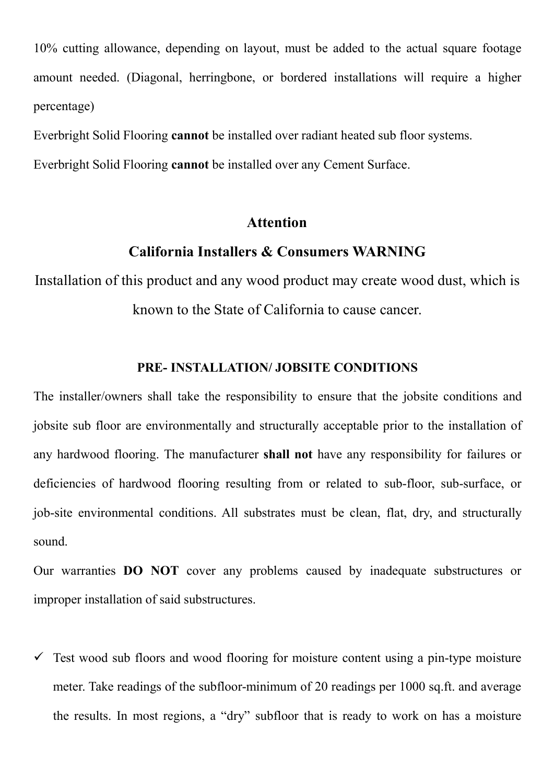10% cutting allowance, depending on layout, must be added to the actual square footage<br>amount needed. (Diagonal, herringbone, or bordered installations will require a higher<br>percentage) 10% cutting allowance, depending on layout, must be added to the actual square footage<br>amount needed. (Diagonal, herringbone, or bordered installations will require a higher<br>percentage)<br>Everbright Solid Flooring **cannot** b percentage) 10% cutting allowance, depending on layout, must be added to the actual square footage<br>amount needed. (Diagonal, herringbone, or bordered installations will require a higher<br>percentage)<br>Everbright Solid Flooring **cannot** b 10% cutting allowance, depending on layout, must be added to the actual square footage<br>amount needed. (Diagonal, herringbone, or bordered installations will require a higher<br>percentage)<br>Everbright Solid Flooring **cannot** b vance, depending on layout, must be added to the actual square footage<br>
(Diagonal, herringbone, or bordered installations will require a higher<br>
Clooring **cannot** be installed over radiant heated sub floor systems.<br>
Cloori Installation and wance, depending on layout, must be added to the actual square footage<br>amount needed. (Diagonal, herringbone, or bordered installations will require a higher<br>percentage)<br>Everbright Solid Flooring **cannot**

# Attention

Diagonal, herringbone, or bordered installations will require a higher<br>hooring cannot be installed over radiant heated sub floor systems.<br>hooring cannot be installed over any Cement Surface.<br>Attention<br>California Installers boring **cannot** be installed over radiant heated sub floor systems.<br>
poring **cannot** be installed over any Cement Surface.<br> **Attention**<br> **Attention**<br> **Attention**<br> **Attention**<br> **Subsidiformia Installers & Consumers WARNING** 

Everbright Solid Flooring **cannot** be installed over any Cement Surface.<br> **Attention**<br> **California Installers & Consumers WARNING**<br>
Installation of this product and any wood product may create wood dust, which is<br>
known to Attention<br>
Installation of this product and any wood product may create wood dust, which is<br>
known to the State of California to cause cancer.<br>
PRE- INSTALLATION/JOBSITE CONDITIONS<br>
The installer/owners shall take the resp **Example 19 Alternion**<br> **Any of this product and any wood product may create wood dust, which is<br>
known to the State of California to cause cancer.<br>
PRE-INSTALLATION/JOBSITE CONDITIONS<br>
The installer/owners shall take the California Installers & Consumers WARNING**<br>Installation of this product and any wood product may create wood dust, which is<br>known to the State of California to cause cancer.<br>**PRE-INSTALLATION/JOBSITE CONDITIONS**<br>The insta Installation of this product and any wood product may create wood dust, which is<br>
known to the State of California to cause cancer.<br> **PRE- INSTALLATION/JOBSITE CONDITIONS**<br>
The installer/owners shall take the responsibilit sound. **PRE- INSTALLATION/JOBSITE CONDITIONS**<br>The installer/owners shall take the responsibility to ensure that the jobsite conditions and<br>jobsite sub floor are environmentally and structurally acceptable prior to the installatio **PRE- INSTALLATION/ JOBSITE CONDITIONS**<br>The installer/owners shall take the responsibility to ensure that the jobsite condition<br>jobsite sub floor are environmentally and structurally acceptable prior to the installate<br>any Solistic sub floor are environmentally and structurally acceptable prior to the installation of<br>any hardwood flooring. The manufacturer **shall not** have any responsibility for failures or<br>deficiencies of hardwood flooring hardwood flooring. The manufacturer shall not have any responsibility for failures or<br>ciencies of hardwood flooring resulting from or related to sub-floor, sub-surface, or<br>site environmental conditions. All substrates must ciencies of hardwood flooring resulting from or related to sub-floor, sub-surface, or site environmental conditions. All substrates must be clean, flat, dry, and structurally nd.<br>The results. **DO NOT** cover any problems ca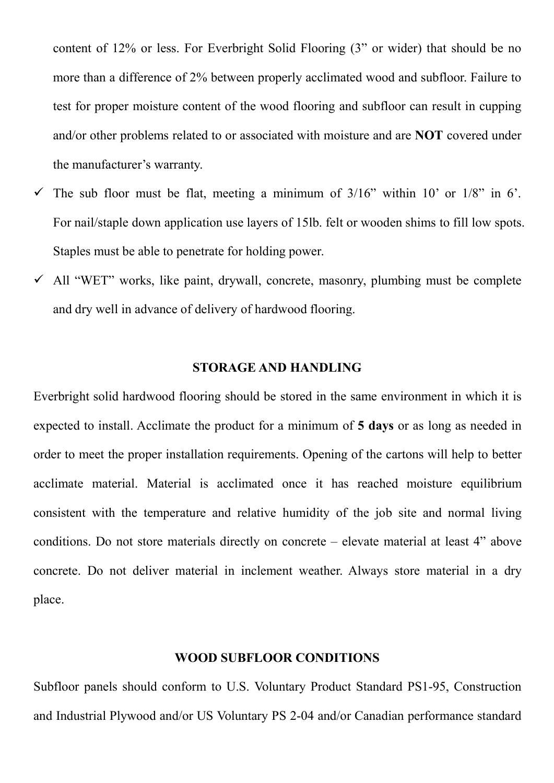content of 12% or less. For Everbright Solid Flooring (3" or wider) that should be no<br>more than a difference of 2% between properly acclimated wood and subfloor. Failure to<br>test for proper moisture content of the wood floo content of 12% or less. For Everbright Solid Flooring (3" or wider) that should be no<br>more than a difference of 2% between properly acclimated wood and subfloor. Failure to<br>test for proper moisture content of the wood floo content of 12% or less. For Everbright Solid Flooring (3" or wider) that should be no<br>more than a difference of 2% between properly acclimated wood and subfloor. Failure to<br>test for proper moisture content of the wood floo content of 12% or less. For Everbright Solid Flooring (3" or wider) that should be no<br>more than a difference of 2% between properly acclimated wood and subfloor. Failure to<br>test for proper moisture content of the wood floo content of 12% or less. For Everbright Solid Flooring (3" or wider) that sl<br>more than a difference of 2% between properly acclimated wood and subfloc<br>test for proper moisture content of the wood flooring and subfloor can r content of 12% or less. For Everbright Solid Flooring (3" or wider) that should be no<br>more than a difference of 2% between properly acclimated wood and subfloor. Failure to<br>test for proper moisture content of the wood flo content of 12% or less. For Everbright Solid Flooring (3" or wider) that should be no<br>more than a difference of 2% between properly acclimated wood and subfloor. Failure to<br>test for proper moisture content of the wood floo content of 12% or less. For Everbright Solid Flooring (3" or wider) that should be no<br>more than a difference of 2% between properly acclimated wood and subfloor. Failure to<br>test for proper moisture content of the wood floo content of 12% or less. For Everbright Solid Flooring (3" or wider) that should be no<br>more than a difference of 2% between properly acclimated wood and subfloor. Failure to<br>test for proper moisture content of the wood flo more than a difference of 2% between properly acclimated wood and subfloor. Failure to<br>test for proper moisture content of the wood flooring and subfloor can result in cupping<br>and/or other problems related to or associated

- ted to or associated with moisture and are **NOT** covered under<br>ty.<br>lat, meeting a minimum of 3/16" within 10' or 1/8" in 6'.<br>cation use layers of 15lb. felt or wooden shims to fill low spots.<br>netrate for holding power.<br>ain The sub-floor must be flat, meeting a minimum of  $3/16$ " within  $10$ " or  $1/8$ " in  $6$ ".<br>
For nail/staple down application use layers of 15lb. felt or wooden shims to fill low spots.<br>
Staples must be able to penetrate for
- 

The sub floor must be flat, meeting a minimum of  $3/16$ " within 10' or  $1/8$ " in 6'.<br>For nail/staple down application use layers of 15lb. felt or wooden shims to fill low spots.<br>Staples must be able to penetrate for holdi For nail/staple down application use layers of 151b. felt or wooden shims to fill low spots.<br>
Staples must be able to penetrate for holding power.<br>  $\checkmark$  All "WET" works, like paint, drywall, concrete, masonry, plumbing m Staples must be able to penetrate for holding power.<br>  $\checkmark$  All "WET" works, like paint, drywall, concrete, masonry, plumbing must be complete<br>
and dry well in advance of delivery of hardwood flooring.<br> **STORAGE AND HANDL** A All "WET" works, like paint, drywall, concrete, masonry, plumbing must be complete<br>
and dry well in advance of delivery of hardwood flooring.<br> **STORAGE AND HANDLING**<br>
Everbright solid hardwood flooring should be stored and dry well in advance of delivery of hardwood flooring.<br>
STORAGE AND HANDLING<br>
Everbright solid hardwood flooring should be stored in the same environment in which it is<br>
expected to install. Acclimate the product for a STORAGE AND HANDLING<br>Everbright solid hardwood flooring should be stored in the same environment in which it is<br>expected to install. Acclimate the product for a minimum of 5 days or as long as needed in<br>order to meet the p place. ate the product for a minimum of 5 days or as long as needed in stallation requirements. Opening of the cartons will help to better rial is acclimated once it has reached moisture equilibrium rature and relative humidity o order to meet the proper installation requirements. Opening of the cartons will help to better acclimate material. Material is acclimated once it has reached moisture equilibrium consistent with the temperature and relativ and Industrial Material is acclimated once it has reached moisture equilibrium<br>consistent with the temperature and relative humidity of the job site and normal living<br>conditions. Do not store materials directly on concrete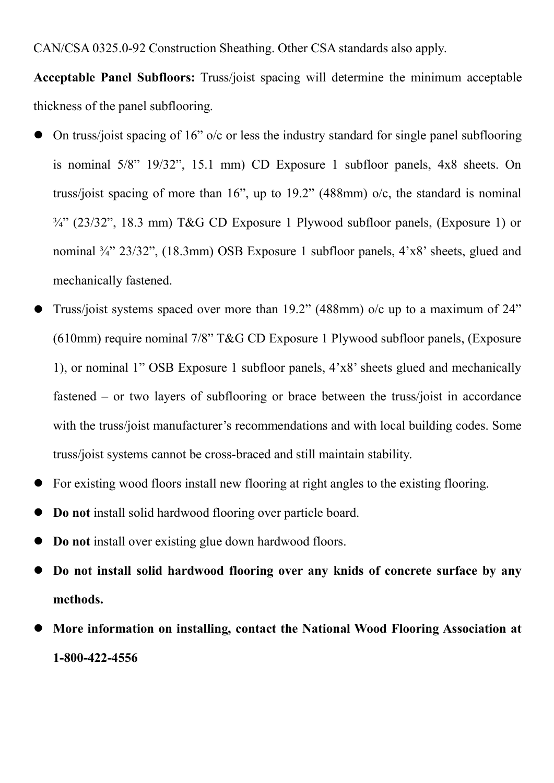CAN/CSA 0325.0-92 Construction Sheathing. Other CSA standards also apply.<br>Acceptable Panel Subfloors: Truss/joist spacing will determine the minimum acceptable<br>thickness of the panel subflooring. CAN/CSA 0325.0-92 Construction Sheathing. Other CSA standards also apply.<br>
Acceptable Panel Subfloors: Truss/joist spacing will determine the minimum acceptable<br>
thickness of the panel subflooring.<br>
● On truss/joist spaci CAN/CSA 0325.0-92 Construction Sheathing. Other CSA standards also apply.<br> **Acceptable Panel Subfloors:** Truss/joist spacing will determine the minimum<br>
thickness of the panel subflooring.<br>
• On truss/joist spacing of 16"

- CAN/CSA 0325.0-92 Construction Sheathing. Other CSA standards also apply.<br> **Acceptable Panel Subfloors:** Truss/joist spacing will determine the minimum acceptable<br>
thickness of the panel subflooring.<br>
 On truss/joist spa N/CSA 0325.0-92 Construction Sheathing. Other CSA standards also apply.<br> **Expredible Panel Subfloors:** Truss/joist spacing will determine the minimum acceptable<br>
kness of the panel subflooring.<br>
On truss/joist spacing of 1 N/CSA 0325.0-92 Construction Sheathing. Other CSA standards also apply.<br>
eptable Panel Subfloors: Truss/joist spacing will determine the minimum acceptable<br>
kness of the panel subflooring.<br>
On truss/joist spacing of 16" o/ N/CSA 0325.0-92 Construction Sheathing. Other CSA standards also apply.<br> **eptable Panel Subfloors:** Truss/joist spacing will determine the minimum acceptable<br>
kness of the panel subflooring.<br>
On truss/joist spacing of 16" N/CSA 0325.0-92 Construction Sheathing. Other CSA standards also apply.<br> **eptable Panel Subfloors:** Truss/joist spacing will determine the minimum acceptable<br>
kness of the panel subflooring.<br>
On truss/joist spacing of 16" N/CSA 0325.0-92 Construction Sheathing. Other CSA standards also appreptable Panel Subfloors: Truss/joist spacing will determine the min<br>kness of the panel subflooring.<br>On truss/joist spacing of 16" o/c or less the industr Acceptable Panel Subfloors: Truss/joist spacing will determine the minimum acceptable<br>thickness of the panel subflooring.<br>
• On truss/joist spacing of 16" o/c or less the industry standard for single panel subflooring<br>
is kness of the panel subflooring.<br>
On truss/joist spacing of 16" o/c or less the industry standard for single panel subflooring<br>
is nominal 5/8" 19/32", 15.1 mm) CD Exposure 1 subfloor panels, 4x8 sheets. On<br>
truss/joist spa On truss/joist spacing of 16" o/c or less the industry standard for single panel subflooring<br>is nominal 5/8" 19/32", 15.1 mm) CD Exposure 1 subfloor panels, 4x8 sheets. On<br>truss/joist spacing of more than 16", up to 19.2"
- is nominal 5/8" 19/32", 15.1 mm) CD Exposure 1 subfloor panels, 4x8 sheets. On<br>truss/joist spacing of more than 16", up to 19.2" (488mm) o/c, the standard is nominal<br><sup>34"</sup> (23/32", 18.3 mm) T&G CD Exposure 1 Plywood subfl truss/joist spacing of more than 16", up to 19.2" (488mm) o/c, the standard is nominal<br>
<sup>34"</sup> (23/32", 18.3 mm) T&G CD Exposure 1 Plywood subfloor panels, (Exposure 1) or<br>
nominal <sup>34"</sup> 23/32", (18.3mm) OSB Exposure 1 subf 34" (23/32", 18.3 mm) T&G CD Exposure 1 Plywood subfloor panels, (Exposure 1) or<br>nominal 34" 23/32", (18.3mm) OSB Exposure 1 subfloor panels, 4'x8' sheets, glued and<br>mechanically fastened.<br>Truss/joist systems spaced over m nominal ¼" 23/32", (18.3mm) OSB Exposure 1 subfloor panels, 4'x8' sheets, glued and<br>
mechanically fastened.<br>
Truss/joist systems spaced over more than 19.2" (488mm) o/c up to a maximum of 24"<br>
(610mm) require nominal 7/8" • Truss/joist systems spaced over more than 19.2" (488mm) o/c up to a maximum of 24"<br>
• Truss/joist systems spaced over more than 19.2" (488mm) o/c up to a maximum of 24"<br>
• (610mm) require nominal 7/8" T&G CD Exposure 1 <ul>\n<li> Truss/joist systems spaced over more than 19.2" (488mm) o/c up to a maximum of 24" (610mm) require nominal 7/8" T&amp;G CD Exposure 1 Phywood subfloor panels, (Exposure 1), or nominal 1" OSB Exposure 1 subfloor panels, 4'×8' sheets glued and mechanically fastened – or two layers of subflooring or brace between the truss/joist in accordance with the truss/joist manufacturer's recommendations and with local building codes. Some truss/joist systems cannot be cross-braced and still maintain stability.</li>\n<li> For existing wood floors install new flooring at right angles to the existing flooring.</li>\n<li> Do not install solid hardwood flooring over particle board.</li>\n<li> Do not install over existing glue down hardwood floors.</li>\n<li> Do not install solid hardwood flooring over (610mm) require nominal 7/8" T&G CD Exposure 1 Plywood subfloor panels, (Exposure<br>
1), or nominal 1" OSB Exposure 1 subfloor panels,  $4^{\circ}x8^{\circ}$  sheets glued and mechanically<br>
fastened – or two layers of subflooring or fastened – or two layers of subflooring or brace between the truss/joist in accordance<br>with the truss/joist manufacturer's recommendations and with local building codes. Some<br>truss/joist systems cannot be cross-braced and
- 
- 
- 
- methods.
- 1-800-422-4556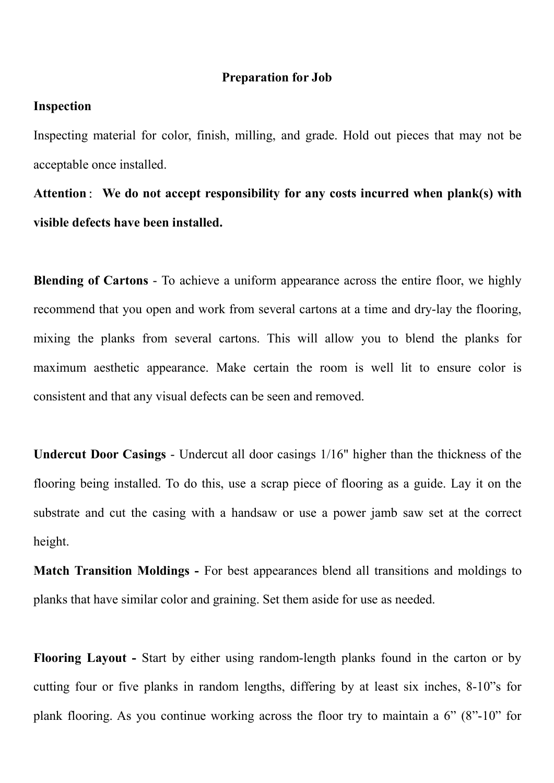# Inspection

Preparation for Job<br>
h, milling, and grade. Hold out pieces that may not be **Inspection**<br>Inspecting material for color, finish, milling, and grade. Hold out pieces that may not be<br>acceptable once installed.<br>Attention: We do not accept responsibility for any costs incurred when plank(s) with **Preparation for Job**<br>
Inspection<br>
Inspecting material for color, finish, milling, and grade. Hold out piece<br>
acceptable once installed.<br>
Attention: We do not accept responsibility for any costs incurred w<br>
visible defects **Preparation for Job**<br>Inspecting material for color, finish, milling, and grade. Hold out pieces that may not be<br>acceptable once installed.<br>Attention: We do not accept responsibility for any costs incurred when plank(s) wi **Preparation for Job**<br>Inspection<br>Inspecting material for color, finish, milling, and grade. Hold out pieces that may<br>acceptable once installed.<br>Attention : We do not accept responsibility for any costs incurred when plank<br>

**Example 1**<br> **Example 15 Instead is the United States in the Altention in the deceptable once installed.**<br> **Attention:** We do not accept responsibility for any costs incurred when plank(s) with<br>
visible defects have been i **Example 11 Inspection**<br>Inspecting material for color, finish, milling, and grade. Hold out pieces that may not be<br>acceptable once installed.<br>Attention: We do not accept responsibility for any costs incurred when plank(s) Inspection<br>Inspecting material for color, finish, milling, and grade. Hold out pieces that may not be<br>acceptable once installed.<br>Attention: We do not accept responsibility for any costs incurred when plank(s) with<br>visible Inspecting material for color, finish, milling, and grade. Hold out pieces that may not be acceptable once installed.<br> **Attention:** We do not accept responsibility for any costs incurred when plank(s) with<br>
visible defects acceptable once installed.<br>
Attention: We do not accept responsibility for any costs incurred when plank(s) with<br>
visible defects have been installed.<br>
Blending of Cartons - To achieve a uniform appearance across the entir visible defects have been installed.<br>
Blending of Cartons - To achieve a uniform appearance across the entire floor, we highly<br>
recommend that you open and work from several cartons at a time and dry-lay the flooring,<br>
mix Blending of Cartons - To achieve a uniform appearance across the entire floor, we highly<br>recommend that you open and work from several cartons at a time and dry-lay the flooring,<br>mixing the planks from several cartons. Thi **Blending of Cartons** - To achieve a uniform appearance across the entire floor, we highly recommend that you open and work from several cartons at a time and dry-lay the flooring, mixing the planks from several cartons. T

height. mixing the planks from several cartons. This will allow you to blend the planks for<br>maximum aesthetic appearance. Make certain the room is well lit to ensure color is<br>consistent and that any visual defects can be seen and maximum aesthetic appearance. Make certain the room is well lit to ensure color is<br>consistent and that any visual defects can be seen and removed.<br>Undercut Door Casings - Undercut all door casings 1/16" higher than the thi Undercut Door Casings - Undercut all door casings 1/16" higher than the thickness of the<br>flooring being installed. To do this, use a scrap piece of flooring as a guide. Lay it on the<br>substrate and cut the casing with a han Undercut Door Casings - Undercut all door casings 1/16" higher than the thickness of the<br>flooring being installed. To do this, use a scrap piece of flooring as a guide. Lay it on the<br>substrate and cut the casing with a han flooring being installed. To do this, use a scrap piece of flooring as a guide. Lay it on the substrate and cut the casing with a handsaw or use a power jamb saw set at the correct height.<br>Match Transition Moldings - For b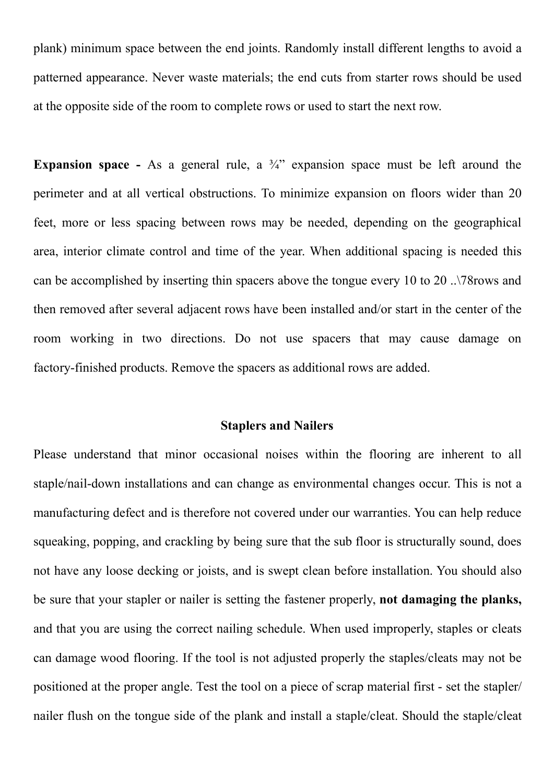plank) minimum space between the end joints. Randomly install different lengths to avoid a<br>patterned appearance. Never waste materials; the end cuts from starter rows should be used<br>at the opposite side of the room to comp plank) minimum space between the end joints. Randomly install different lengths to avoid a patterned appearance. Never waste materials; the end cuts from starter rows should be used at the opposite side of the room to comp plank) minimum space between the end joints. Randomly install different lengths to avoid a<br>patterned appearance. Never waste materials; the end cuts from starter rows should be used<br>at the opposite side of the room to comp plank) minimum space between the end joints. Randomly install different lengths to avoid a patterned appearance. Never waste materials; the end cuts from starter rows should be used at the opposite side of the room to comp

plank) minimum space between the end joints. Randomly install different lengths to avoid a<br>patterned appearance. Never waste materials; the end cuts from starter rows should be used<br>at the opposite side of the room to comp plank) minimum space between the end joints. Randomly install different lengths to avoid a<br>patterned appearance. Never waste materials; the end cuts from starter rows should be used<br>at the opposite side of the room to comp plank) minimum space between the end joints. Randomly install different lengths to avoid a<br>patterned appearance. Never waste materials; the end cuts from starter rows should be used<br>at the opposite side of the room to comp plank) minimum space between the end joints. Randomly install different lengths to avoid a<br>patterned appearance. Never waste materials; the end cuts from starter rows should be used<br>at the opposite side of the room to comp patterned appearance. Never waste materials; the end cuts from starter rows should be used<br>at the opposite side of the room to complete rows or used to start the next row.<br>**Expansion space** - As a general rule, a  $\frac{3}{4}$ at the opposite side of the room to complete rows or used to start the next row.<br> **Expansion space** - As a general rule, a <sup>3</sup>/<sup>2</sup> expansion space must be left around the<br>
perimeter and at all vertical obstructions. To min **Expansion space** - As a general rule, a  $\frac{3}{4}$  expansion space must be left around the perimeter and at all vertical obstructions. To minimize expansion on floors wider than 20 feet, more or less spacing between rows ctions. To minimize expansion on floors wider than 20<br>n rows may be needed, depending on the geographical<br>ime of the year. When additional spacing is needed this<br>in spacers above the tongue every 10 to 20 ..\78rows and<br>row feet, more or less spacing between rows may be needed, depending on the geographical<br>area, interior climate control and time of the year. When additional spacing is needed this<br>can be accomplished by inserting thin spacers area, interior climate control and time of the year. When additional spacing is needed this<br>can be accomplished by inserting thin spacers above the tongue every 10 to 20 ... 78 rows and<br>then removed after several adjacent

can be accomplished by inserting thin spacers above the tongue every 10 to 20 ..\78rows and<br>then removed after several adjacent rows have been installed and/or start in the center of the<br>room working in two directions. Do then removed after several adjacent rows have been installed and/or start in the center of the<br>room working in two directions. Do not use spacers that may cause damage on<br>factory-finished products. Remove the spacers as ad room working in two directions. Do not use spacers that may cause damage on factory-finished products. Remove the spacers as additional rows are added.<br> **Staplers and Nailers**<br>
Please understand that minor occasional noise factory-finished products. Remove the spacers as additional rows are added.<br> **Staplers and Nailers**<br>
Please understand that minor occasional noises within the flooring are inherent to all<br>
staple/nail-down installations an **Staplers and Nailers**<br>**Please understand that minor occasional noises within the flooring are inherent to all**<br>**staple/nail-down installations and can change as environmental changes occur. This is not a<br>manufacturing def Staplers and Nailers**<br>Please understand that minor occasional noises within the flooring are inherent to all<br>staple/nail-down installations and can change as environmental changes occur. This is not a<br>manufacturing defect Please understand that minor occasional noises within the flooring are inherent to all staple/nail-down installations and can change as environmental changes occur. This is not a manufacturing defect and is therefore not c staple/nail-down installations and can change as environmental changes occur. This is not a<br>manufacturing defect and is therefore not covered under our warranties. You can help reduce<br>squeaking, popping, and crackling by b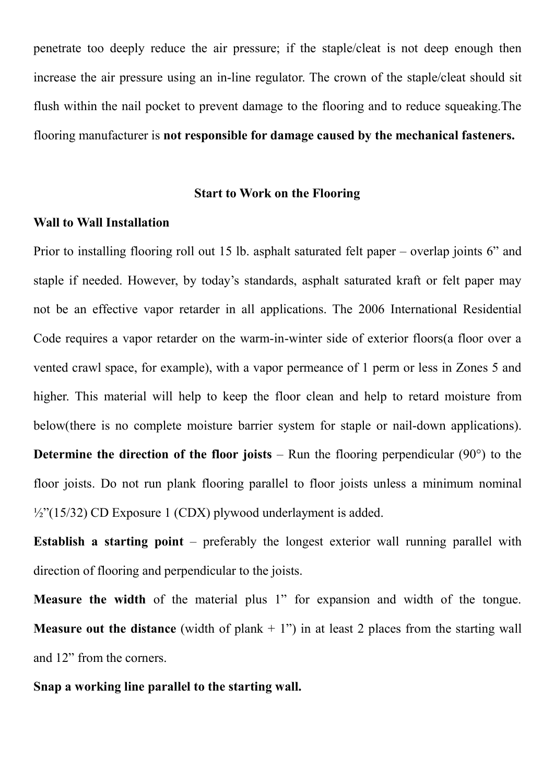penetrate too deeply reduce the air pressure; if the staple/cleat is not deep enough then<br>increase the air pressure using an in-line regulator. The crown of the staple/cleat should sit<br>flush within the nail pocket to preve penetrate too deeply reduce the air pressure; if the staple/cleat is not deep enough then<br>increase the air pressure using an in-line regulator. The crown of the staple/cleat should sit<br>flush within the nail pocket to preve penetrate too deeply reduce the air pressure; if the staple/cleat is not deep enough then increase the air pressure using an in-line regulator. The crown of the staple/cleat should sit flush within the nail pocket to preve penetrate too deeply reduce the air pressure; if the staple/cleat is not deep enough then<br>increase the air pressure using an in-line regulator. The crown of the staple/cleat should sit<br>flush within the nail pocket to preve the air pressure; if the staple/cleat is not deep enough then<br>
stan in-line regulator. The crown of the staple/cleat should sit<br>
prevent damage to the flooring and to reduce squeaking. The<br>
sponsible for damage caused by t penetrate too deeply reduce the air pressure; if the staple/cleat is not<br>increase the air pressure using an in-line regulator. The crown of the s<br>flush within the nail pocket to prevent damage to the flooring and to r<br>floo penetrate too deeply reduce the air pressure; if the staple/cleat is not deep enough then<br>increase the air pressure using an in-line regulator. The crown of the staple/cleat should sit<br>flush within the nail pocket to preve penetrate too deeply reduce the air pressure; if the staple/cleat is not deep enough then<br>increase the air pressure using an in-line regulator. The crown of the staple/cleat should sit<br>flush within the nail pocket to preve

increase the air pressure using an in-line regulator. The crown of the staple/cleat should sit<br>
flush within the nail pocket to prevent damage to the flooring and to reduce squeaking.The<br>
flooring manufacturer is **not resp** flush within the nail pocket to prevent damage to the flooring and to reduce squeaking. The<br>
flooring manufacturer is **not responsible for damage caused by the mechanical fasteners.**<br> **Start to Work on the Flooring**<br> **Wall** flooring manufacturer is not responsible for damage caused by the mechanical fasteners.<br>
Start to Work on the Flooring<br>
Wall to Wall Installation<br>
Prior to installing flooring roll out 15 lb. asphalt saturated felt paper – Start to Work on the Flooring<br>
Prior to installing flooring roll out 15 lb. asphalt saturated felt paper – overlap joints 6" and<br>
staple if needed. However, by today's standards, asphalt saturated kraft or felt paper may<br> Start to Work on the Flooring<br>
Wall to Wall Installation<br>
Prior to installing flooring roll out 15 lb. asphalt saturated felt paper – overlap joints 6" and<br>
staple if needed. However, by today's standards, asphalt saturate Wall to Wall Installation<br>
Prior to installing flooring roll out 15 lb. asphalt saturated felt paper – overlap joints 6" and<br>
staple if needed. However, by today's standards, asphalt saturated kraft or felt paper may<br>
not Prior to installing flooring roll out 15 lb. asphalt saturated felt paper – overlap joints 6" and<br>staple if needed. However, by today's standards, asphalt saturated kraft or felt paper may<br>not be an effective vapor retard staple if needed. However, by today's standards, asphalt saturated kraft or felt paper may<br>not be an effective vapor retarder in all applications. The 2006 International Residential<br>Code requires a vapor retarder on the wa not be an effective vapor retarder in all applications. The 2006 International Residential<br>
Code requires a vapor retarder on the warm-in-winter side of exterior floors(a floor over a<br>
vented crawl space, for example), wit Code requires a vapor retarder on the warm-in-winter side of exterior floors(a floor over a<br>vented crawl space, for example), with a vapor permeance of 1 perm or less in Zones 5 and<br>higher. This material will help to keep vented crawl space, for example), with a vapor permeance of 1 perm or less in Zones 5 and<br>higher. This material will help to keep the floor clean and help to retard moisture from<br>below(there is no complete moisture barrier higher. This material will help to keep the floor clean and help to retard moisture from<br>below(there is no complete moisture barrier system for staple or nail-down applications).<br>Determine the direction of the floor joist below(there is no complete moisture barrier system for staple or nail-do<br>Determine the direction of the floor joists – Run the flooring perpendi-<br>floor joists. Do not run plank flooring parallel to floor joists unless a n<br> **Determine the direction of the floor joists** – Run the flooring perpendicular (90°) to the floor joists. Do not run plank flooring parallel to floor joists unless a minimum nominal  $\frac{1}{2}$ ?(15/32) CD Exposure 1 (CDX) p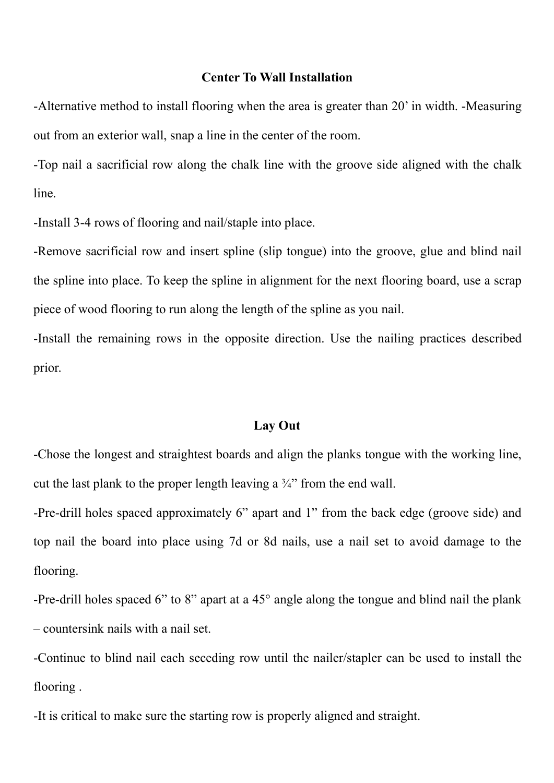Center To Wall Installation<br>
poring when the area is greater than 20' in width. -Measuring<br>
i line in the center of the room. **Center To Wall Installation**<br>-Alternative method to install flooring when the area is greater than 20' in width. -Measuring<br>out from an exterior wall, snap a line in the center of the room.<br>-Top nail a sacrificial row alo

**Center To Wall Installation**<br>
-Alternative method to install flooring when the area is greater than 20' in width. -Measuring<br>
out from an exterior wall, snap a line in the center of the room.<br>
-Top nail a sacrificial row Center To Wall Installation<br>-Alternative method to install flooring when the area is greater than 20' in width. -Measuring<br>out from an exterior wall, snap a line in the center of the room.<br>-Top nail a sacrificial row along line. Center To Wall Installation<br>-Alternative method to install flooring when the area is greater than 20' in width. -Measuring<br>out from an exterior wall, snap a line in the center of the room.<br>-Top nail a sacrificial row along

**Center To Wall Installation**<br>-Alternative method to install flooring when the area is greater than 20' in width. -Measuring<br>out from an exterior wall, snap a line in the center of the room.<br>-Top nail a sacrificial row alo **Center To Wall Installation**<br>
Alternative method to install flooring when the area is greater than 20' in width. -Measuring<br>
out from an exterior wall, snap a line in the center of the room.<br>
Top nail a sacrificial row al Center To Wall Installation<br>
Alternative method to install flooring when the area is greater than 20' in width. -Measuring<br>
out from an exterior wall, snap a line in the center of the room.<br>
Top nail a sacrificial row alon -Alternative method to install flooring when the area is greater than 20' in width. -Measuring<br>out from an exterior wall, snap a line in the center of the room.<br>-Top nail a sacrificial row along the chalk line with the gro e into place.<br>
(slip tongue) into the groove, glue and blind nail<br>
1 alignment for the next flooring board, use a scrap<br>
ngth of the spline as you nail.<br>
Site direction. Use the nailing practices described<br>
Lay Out<br>
and al -Install 3-4 rows of flooring and nail/staple into place.<br>
-Remove sacrificial row and insert spline (slip tongue) into the groove, glue and blind nail<br>
the spline into place. To keep the spline in alignment for the next -Remove sacrificial row and insert spline (slip tongue) into the groove, glue and blind nail<br>the spline into place. To keep the spline in alignment for the next flooring board, use a scrap<br>piece of wood flooring to run alo

prior.

the spline into place. To keep the spline in alignment for the next flooring board, use a scrap<br>piece of wood flooring to run along the length of the spline as you nail.<br>-Install the remaining rows in the opposite directio piece of wood flooring to run along the length of the spline as you nail.<br>
-Install the remaining rows in the opposite direction. Use the nailing practices described<br>
prior.<br>
Lay Out<br>
-Chose the longest and straightest bo flooring. **Lay Out**<br>
-Chose the longest and straightest boards and align the planks tongue with the working line,<br>
cut the last plank to the proper length leaving a  $\frac{1}{4}$  from the end wall.<br>
-Pre-drill holes spaced approximatel **Lay Out**<br> **Lay Out**<br> **Chose the longest and straightest boards and align the planks tongue with the working<br>
cut the last plank to the proper length leaving a**  $\frac{2}{4}$  **from the end wall.<br>
Pre-drill holes spaced approxim Lay Out**<br> **Lay Out**<br>
Chose the longest and straightest boards and align the planks tongue with the working line,<br>
cut the last plank to the proper length leaving a  $34$ " from the end wall.<br>
Pre-drill holes spaced approxi -Chose the longest and straightest boards and align the planks tong<br>cut the last plank to the proper length leaving a  $\frac{3}{4}$  from the end we<br>-Pre-drill holes spaced approximately 6" apart and 1" from the ba<br>top nail th eut the last plank to the proper length leaving a <sup>3</sup>/<sub>4</sub><sup>7</sup> from the end wall.<br>-Pre-drill holes spaced approximately 6<sup>3</sup> apart and 1<sup>3</sup> from the back edge (groove side) and<br>top nail the board into place using 7d or 8d na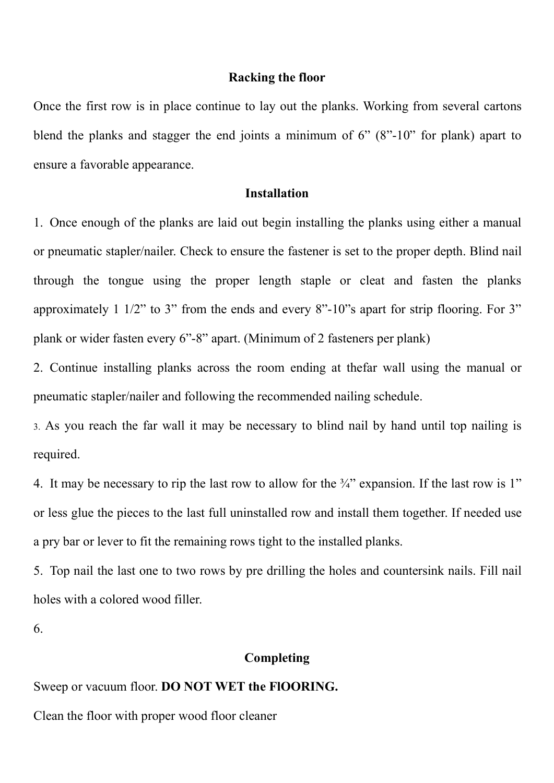Racking the floor<br>
ue to lay out the planks. Working from several cartons<br>
d joints a minimum of 6" (8"-10" for plank) apart to **Racking the floor**<br>Once the first row is in place continue to lay out the planks. Working from several cartons<br>blend the planks and stagger the end joints a minimum of 6" (8"-10" for plank) apart to<br>ensure a favorable app **Example 19 Racking the floor**<br>
blend the planks and stagger the end joints a minimum of 6" (8"-10" for plank) apart to<br>
ensure a favorable appearance.<br> **Installation Racking the floor**<br>
Once the first row is in place continue to lay out the planks. Working from<br>
blend the planks and stagger the end joints a minimum of 6" (8"-10" for<br>
ensure a favorable appearance.<br> **Installation**<br>
1.

# Installation

**1. Once the first row is in place continue to lay out the planks. Working from several cartons**<br>
blend the planks and stagger the end joints a minimum of 6" (8"-10" for plank) apart to<br>
ensure a favorable appearance.<br> **1. Example 19 Solution**<br> **Example 19 Solution** Consure a favorable appearance.<br> **Example 19 Solution**<br> **Example 19 Solution**<br>
1. Once enough of the planks are laid out begin installing the planks using either a manual<br>
1. On **Example 16 Solution**<br> **Racking the floor**<br> **Conce the first row is in place continue to lay out the planks. Working from several cartons**<br> **Example and stage the end joints a minimum of 6" (8"-10" for plank) apart to**<br> **E Example 11.12 Racking the floor**<br> **Alternative 10.18 for the planks.** Working from several cartons<br>
blend the planks and stagger the end joints a minimum of 6" (8"-10" for plank) apart to<br> **Consume a** favorable appearan Once the first row is in place continue to lay out the planks. Working from several cartons<br>blend the planks and stagger the end joints a minimum of 6" (8"-10" for plank) apart to<br>ensure a favorable appearance.<br>**Installat** blend the planks and stagger the end joints a minimum of 6" (8"-10" for plank) apart to<br>ensure a favorable appearance.<br>Installation<br>1. Once enough of the planks are laid out begin installing the planks using either a manua Installation<br>
1. Once enough of the planks are laid out begin installing the planks using either a manual<br>
or pneumatic stapler/nailer. Check to ensure the fastener is set to the proper depth. Blind nail<br>
through the tongu **1.** Once enough of the planks are laid out begin installing the planks using either a manual<br>or pneumatic stapler/nailer. Check to ensure the fastener is set to the proper depth. Blind nail<br>through the tongue using the p or pneumatic stapler/nailer. Check to ensure the fastener is set to the proper depth. Blind nail<br>through the tongue using the proper length staple or cleat and fasten the planks<br>approximately 1 1/2" to 3" from the ends and through the tongue using the proper length staple or cleat and fasten the planks<br>approximately 1 1/2" to 3" from the ends and every 8"-10"s apart for strip flooring. For 3"<br>plank or wider fasten every 6"-8" apart. (Minimum

required.

approximately 1 1/2" to 3" from the ends and every 8"-10"s apart for strip flooring. For 3"<br>plank or wider fasten every 6"-8" apart. (Minimum of 2 fasteners per plank)<br>2. Continue installing planks across the room ending a plank or wider fasten every 6"-8" apart. (Minimum of 2 fasteners per plank)<br>2. Continue installing planks across the room ending at thefar wall using the manual or<br>pneumatic stapler/nailer and following the recommended nai 2. Continue installing planks across the room ending at thefar wall using the m-<br>pneumatic stapler/nailer and following the recommended nailing schedule.<br>
3. As you reach the far wall it may be necessary to blind nail by required.<br>
4. It may be necessary to rip the last row to allow for the 34" expansion. If the last row is 1"<br>
or less glue the pieces to the last full uninstalled row and install them together. If needed use<br>
a pry bar or l 4. It may be necessary to rip the last row to allow for the <sup>5</sup>/<sup>2</sup> expansion. If the last row is 1<sup>3</sup> or less glue the pieces to the last full uninstalled row and install them together. If needed use a pry bar or lever to

6.

# Completing